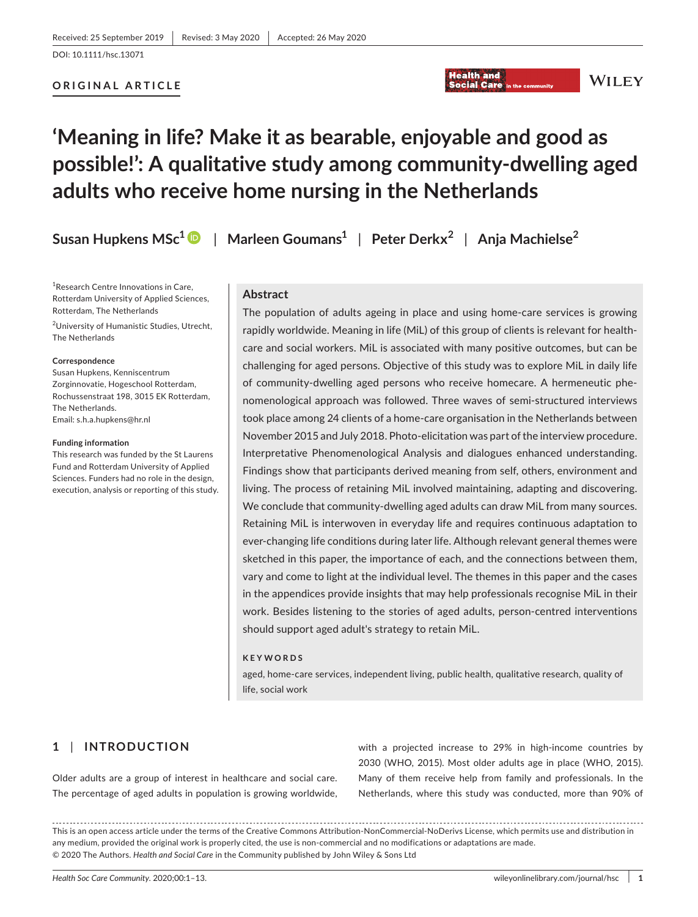# **ORIGINAL ARTICLE**

# **'Meaning in life? Make it as bearable, enjoyable and good as possible!': A qualitative study among community-dwelling aged adults who receive home nursing in the Netherlands**

**Susan Hupkens MSc1** | **Marleen Goumans1** | **Peter Derkx<sup>2</sup>** | **Anja Machielse<sup>2</sup>**

<sup>1</sup>Research Centre Innovations in Care, Rotterdam University of Applied Sciences, Rotterdam, The Netherlands <sup>2</sup>University of Humanistic Studies, Utrecht, The Netherlands

#### **Correspondence**

Susan Hupkens, Kenniscentrum Zorginnovatie, Hogeschool Rotterdam, Rochussenstraat 198, 3015 EK Rotterdam, The Netherlands. Email: [s.h.a.hupkens@hr.nl](mailto:s.h.a.hupkens@hr.nl)

#### **Funding information**

This research was funded by the St Laurens Fund and Rotterdam University of Applied Sciences. Funders had no role in the design, execution, analysis or reporting of this study.

# **Abstract**

The population of adults ageing in place and using home-care services is growing rapidly worldwide. Meaning in life (MiL) of this group of clients is relevant for healthcare and social workers. MiL is associated with many positive outcomes, but can be challenging for aged persons. Objective of this study was to explore MiL in daily life of community-dwelling aged persons who receive homecare. A hermeneutic phenomenological approach was followed. Three waves of semi-structured interviews took place among 24 clients of a home-care organisation in the Netherlands between November 2015 and July 2018. Photo-elicitation was part of the interview procedure. Interpretative Phenomenological Analysis and dialogues enhanced understanding. Findings show that participants derived meaning from self, others, environment and living. The process of retaining MiL involved maintaining, adapting and discovering. We conclude that community-dwelling aged adults can draw MiL from many sources. Retaining MiL is interwoven in everyday life and requires continuous adaptation to ever-changing life conditions during later life. Although relevant general themes were sketched in this paper, the importance of each, and the connections between them, vary and come to light at the individual level. The themes in this paper and the cases in the appendices provide insights that may help professionals recognise MiL in their work. Besides listening to the stories of aged adults, person-centred interventions should support aged adult's strategy to retain MiL.

**Health and** 

**Social Care** 

#### **KEYWORDS**

aged, home-care services, independent living, public health, qualitative research, quality of life, social work

# **1** | **INTRODUCTION**

Older adults are a group of interest in healthcare and social care. The percentage of aged adults in population is growing worldwide,

with a projected increase to 29% in high-income countries by 2030 (WHO, 2015). Most older adults age in place (WHO, 2015). Many of them receive help from family and professionals. In the Netherlands, where this study was conducted, more than 90% of

This is an open access article under the terms of the [Creative Commons Attribution-NonCommercial-NoDerivs](http://creativecommons.org/licenses/by-nc-nd/4.0/) License, which permits use and distribution in any medium, provided the original work is properly cited, the use is non-commercial and no modifications or adaptations are made. © 2020 The Authors. *Health and Social Care* in the Community published by John Wiley & Sons Ltd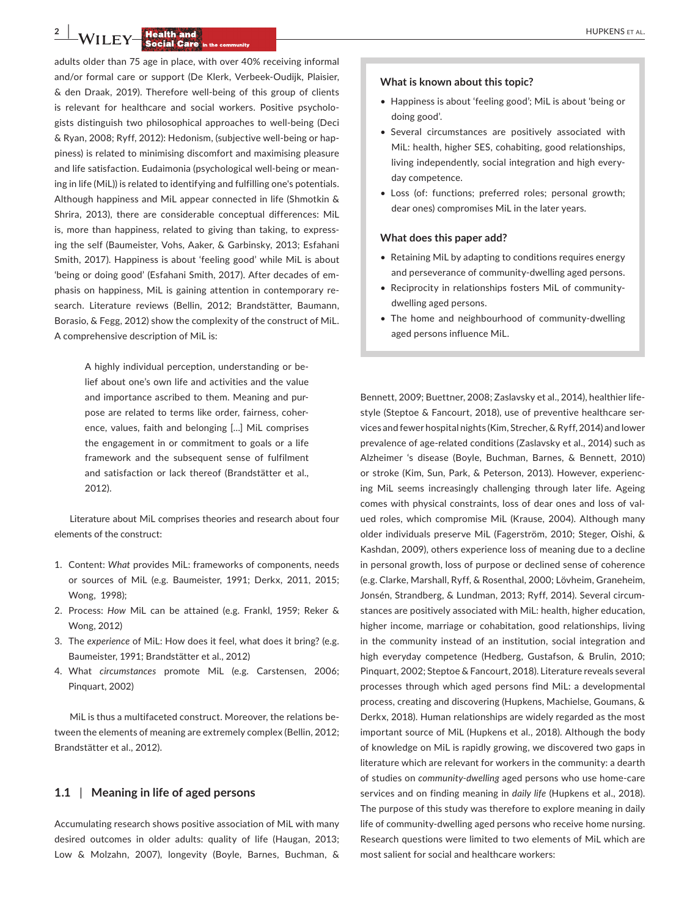**2 | 14/11 FM HUPKENS** ET AL.

adults older than 75 age in place, with over 40% receiving informal and/or formal care or support (De Klerk, Verbeek-Oudijk, Plaisier, & den Draak, 2019). Therefore well-being of this group of clients is relevant for healthcare and social workers. Positive psychologists distinguish two philosophical approaches to well-being (Deci & Ryan, 2008; Ryff, 2012): Hedonism, (subjective well-being or happiness) is related to minimising discomfort and maximising pleasure and life satisfaction. Eudaimonia (psychological well-being or meaning in life (MiL)) is related to identifying and fulfilling one's potentials. Although happiness and MiL appear connected in life (Shmotkin & Shrira, 2013), there are considerable conceptual differences: MiL is, more than happiness, related to giving than taking, to expressing the self (Baumeister, Vohs, Aaker, & Garbinsky, 2013; Esfahani Smith, 2017). Happiness is about 'feeling good' while MiL is about 'being or doing good' (Esfahani Smith, 2017). After decades of emphasis on happiness, MiL is gaining attention in contemporary research. Literature reviews (Bellin, 2012; Brandstätter, Baumann, Borasio, & Fegg, 2012) show the complexity of the construct of MiL. A comprehensive description of MiL is:

> A highly individual perception, understanding or belief about one's own life and activities and the value and importance ascribed to them. Meaning and purpose are related to terms like order, fairness, coherence, values, faith and belonging […] MiL comprises the engagement in or commitment to goals or a life framework and the subsequent sense of fulfilment and satisfaction or lack thereof (Brandstätter et al., 2012).

Literature about MiL comprises theories and research about four elements of the construct:

- 1. Content: *What* provides MiL: frameworks of components, needs or sources of MiL (e.g. Baumeister, 1991; Derkx, 2011, 2015; Wong, 1998);
- 2. Process: *How* MiL can be attained (e.g. Frankl, 1959; Reker & Wong, 2012)
- 3. The *experience* of MiL: How does it feel, what does it bring? (e.g. Baumeister, 1991; Brandstätter et al., 2012)
- 4. What *circumstances* promote MiL (e.g. Carstensen, 2006; Pinquart, 2002)

MiL is thus a multifaceted construct. Moreover, the relations between the elements of meaning are extremely complex (Bellin, 2012; Brandstätter et al., 2012).

## **1.1** | **Meaning in life of aged persons**

Accumulating research shows positive association of MiL with many desired outcomes in older adults: quality of life (Haugan, 2013; Low & Molzahn, 2007), longevity (Boyle, Barnes, Buchman, &

## **What is known about this topic?**

- Happiness is about 'feeling good'; MiL is about 'being or doing good'.
- Several circumstances are positively associated with MiL: health, higher SES, cohabiting, good relationships, living independently, social integration and high everyday competence.
- Loss (of: functions; preferred roles; personal growth; dear ones) compromises MiL in the later years.

#### **What does this paper add?**

- Retaining MiL by adapting to conditions requires energy and perseverance of community-dwelling aged persons.
- Reciprocity in relationships fosters MiL of communitydwelling aged persons.
- The home and neighbourhood of community-dwelling aged persons influence MiL.

Bennett, 2009; Buettner, 2008; Zaslavsky et al., 2014), healthier lifestyle (Steptoe & Fancourt, 2018), use of preventive healthcare services and fewer hospital nights (Kim, Strecher, & Ryff, 2014) and lower prevalence of age-related conditions (Zaslavsky et al., 2014) such as Alzheimer 's disease (Boyle, Buchman, Barnes, & Bennett, 2010) or stroke (Kim, Sun, Park, & Peterson, 2013). However, experiencing MiL seems increasingly challenging through later life. Ageing comes with physical constraints, loss of dear ones and loss of valued roles, which compromise MiL (Krause, 2004). Although many older individuals preserve MiL (Fagerström, 2010; Steger, Oishi, & Kashdan, 2009), others experience loss of meaning due to a decline in personal growth, loss of purpose or declined sense of coherence (e.g. Clarke, Marshall, Ryff, & Rosenthal, 2000; Lövheim, Graneheim, Jonsén, Strandberg, & Lundman, 2013; Ryff, 2014). Several circumstances are positively associated with MiL: health, higher education, higher income, marriage or cohabitation, good relationships, living in the community instead of an institution, social integration and high everyday competence (Hedberg, Gustafson, & Brulin, 2010; Pinquart, 2002; Steptoe & Fancourt, 2018). Literature reveals several processes through which aged persons find MiL: a developmental process, creating and discovering (Hupkens, Machielse, Goumans, & Derkx, 2018). Human relationships are widely regarded as the most important source of MiL (Hupkens et al., 2018). Although the body of knowledge on MiL is rapidly growing, we discovered two gaps in literature which are relevant for workers in the community: a dearth of studies on *community-dwelling* aged persons who use home-care services and on finding meaning in *daily life* (Hupkens et al., 2018). The purpose of this study was therefore to explore meaning in daily life of community-dwelling aged persons who receive home nursing. Research questions were limited to two elements of MiL which are most salient for social and healthcare workers: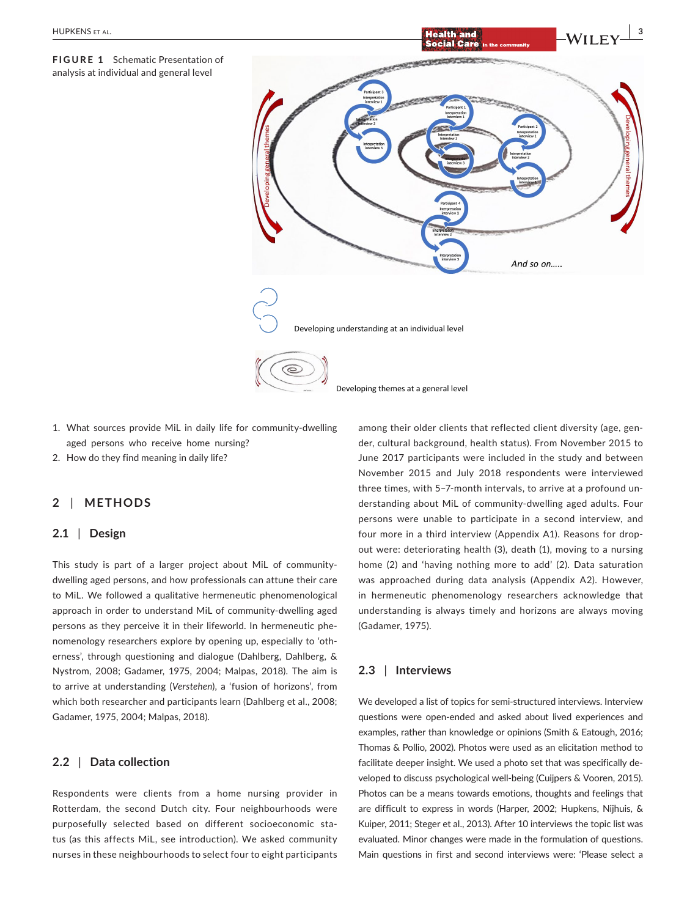**FIGURE 1** Schematic Presentation of analysis at individual and general level



- 1. What sources provide MiL in daily life for community-dwelling aged persons who receive home nursing?
- 2. How do they find meaning in daily life?

# **2** | **METHODS**

# **2.1** | **Design**

This study is part of a larger project about MiL of communitydwelling aged persons, and how professionals can attune their care to MiL. We followed a qualitative hermeneutic phenomenological approach in order to understand MiL of community-dwelling aged persons as they perceive it in their lifeworld. In hermeneutic phenomenology researchers explore by opening up, especially to 'otherness', through questioning and dialogue (Dahlberg, Dahlberg, & Nystrom, 2008; Gadamer, 1975, 2004; Malpas, 2018). The aim is to arrive at understanding (*Verstehen*), a 'fusion of horizons', from which both researcher and participants learn (Dahlberg et al., 2008; Gadamer, 1975, 2004; Malpas, 2018).

# **2.2** | **Data collection**

Respondents were clients from a home nursing provider in Rotterdam, the second Dutch city. Four neighbourhoods were purposefully selected based on different socioeconomic status (as this affects MiL, see introduction). We asked community nurses in these neighbourhoods to select four to eight participants among their older clients that reflected client diversity (age, gender, cultural background, health status). From November 2015 to June 2017 participants were included in the study and between November 2015 and July 2018 respondents were interviewed three times, with 5–7-month intervals, to arrive at a profound understanding about MiL of community-dwelling aged adults. Four persons were unable to participate in a second interview, and four more in a third interview (Appendix A1). Reasons for dropout were: deteriorating health (3), death (1), moving to a nursing home (2) and 'having nothing more to add' (2). Data saturation was approached during data analysis (Appendix A2). However, in hermeneutic phenomenology researchers acknowledge that understanding is always timely and horizons are always moving (Gadamer, 1975).

# **2.3** | **Interviews**

We developed a list of topics for semi-structured interviews. Interview questions were open-ended and asked about lived experiences and examples, rather than knowledge or opinions (Smith & Eatough, 2016; Thomas & Pollio, 2002). Photos were used as an elicitation method to facilitate deeper insight. We used a photo set that was specifically developed to discuss psychological well-being (Cuijpers & Vooren, 2015). Photos can be a means towards emotions, thoughts and feelings that are difficult to express in words (Harper, 2002; Hupkens, Nijhuis, & Kuiper, 2011; Steger et al., 2013). After 10 interviews the topic list was evaluated. Minor changes were made in the formulation of questions. Main questions in first and second interviews were: 'Please select a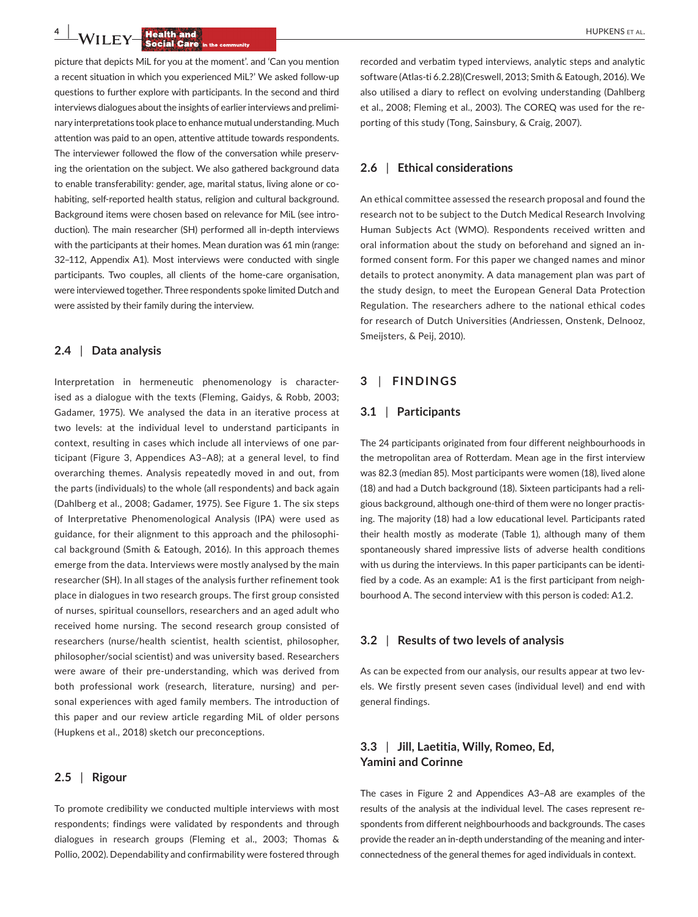**4 <b>HUPKENS ET AL.**<br> **4 <b>COLL SOCIAL CATE Social Care** in the community

picture that depicts MiL for you at the moment'. and 'Can you mention a recent situation in which you experienced MiL?' We asked follow-up questions to further explore with participants. In the second and third interviews dialogues about the insights of earlier interviews and preliminary interpretations took place to enhance mutual understanding. Much attention was paid to an open, attentive attitude towards respondents. The interviewer followed the flow of the conversation while preserving the orientation on the subject. We also gathered background data to enable transferability: gender, age, marital status, living alone or cohabiting, self-reported health status, religion and cultural background. Background items were chosen based on relevance for MiL (see introduction). The main researcher (SH) performed all in-depth interviews with the participants at their homes. Mean duration was 61 min (range: 32–112, Appendix A1). Most interviews were conducted with single participants. Two couples, all clients of the home-care organisation, were interviewed together. Three respondents spoke limited Dutch and were assisted by their family during the interview.

# **2.4** | **Data analysis**

Interpretation in hermeneutic phenomenology is characterised as a dialogue with the texts (Fleming, Gaidys, & Robb, 2003; Gadamer, 1975). We analysed the data in an iterative process at two levels: at the individual level to understand participants in context, resulting in cases which include all interviews of one participant (Figure 3, Appendices A3–A8); at a general level, to find overarching themes. Analysis repeatedly moved in and out, from the parts (individuals) to the whole (all respondents) and back again (Dahlberg et al., 2008; Gadamer, 1975). See Figure 1. The six steps of Interpretative Phenomenological Analysis (IPA) were used as guidance, for their alignment to this approach and the philosophical background (Smith & Eatough, 2016). In this approach themes emerge from the data. Interviews were mostly analysed by the main researcher (SH). In all stages of the analysis further refinement took place in dialogues in two research groups. The first group consisted of nurses, spiritual counsellors, researchers and an aged adult who received home nursing. The second research group consisted of researchers (nurse/health scientist, health scientist, philosopher, philosopher/social scientist) and was university based. Researchers were aware of their pre-understanding, which was derived from both professional work (research, literature, nursing) and personal experiences with aged family members. The introduction of this paper and our review article regarding MiL of older persons (Hupkens et al., 2018) sketch our preconceptions.

## **2.5** | **Rigour**

To promote credibility we conducted multiple interviews with most respondents; findings were validated by respondents and through dialogues in research groups (Fleming et al., 2003; Thomas & Pollio, 2002). Dependability and confirmability were fostered through

recorded and verbatim typed interviews, analytic steps and analytic software (Atlas-ti 6.2.28)(Creswell, 2013; Smith & Eatough, 2016). We also utilised a diary to reflect on evolving understanding (Dahlberg et al., 2008; Fleming et al., 2003). The COREQ was used for the reporting of this study (Tong, Sainsbury, & Craig, 2007).

## **2.6** | **Ethical considerations**

An ethical committee assessed the research proposal and found the research not to be subject to the Dutch Medical Research Involving Human Subjects Act (WMO). Respondents received written and oral information about the study on beforehand and signed an informed consent form. For this paper we changed names and minor details to protect anonymity. A data management plan was part of the study design, to meet the European General Data Protection Regulation. The researchers adhere to the national ethical codes for research of Dutch Universities (Andriessen, Onstenk, Delnooz, Smeijsters, & Peij, 2010).

# **3** | **FINDINGS**

## **3.1** | **Participants**

The 24 participants originated from four different neighbourhoods in the metropolitan area of Rotterdam. Mean age in the first interview was 82.3 (median 85). Most participants were women (18), lived alone (18) and had a Dutch background (18). Sixteen participants had a religious background, although one-third of them were no longer practising. The majority (18) had a low educational level. Participants rated their health mostly as moderate (Table 1), although many of them spontaneously shared impressive lists of adverse health conditions with us during the interviews. In this paper participants can be identified by a code. As an example: A1 is the first participant from neighbourhood A. The second interview with this person is coded: A1.2.

#### **3.2** | **Results of two levels of analysis**

As can be expected from our analysis, our results appear at two levels. We firstly present seven cases (individual level) and end with general findings.

# **3.3** | **Jill, Laetitia, Willy, Romeo, Ed, Yamini and Corinne**

The cases in Figure 2 and Appendices A3–A8 are examples of the results of the analysis at the individual level. The cases represent respondents from different neighbourhoods and backgrounds. The cases provide the reader an in-depth understanding of the meaning and interconnectedness of the general themes for aged individuals in context.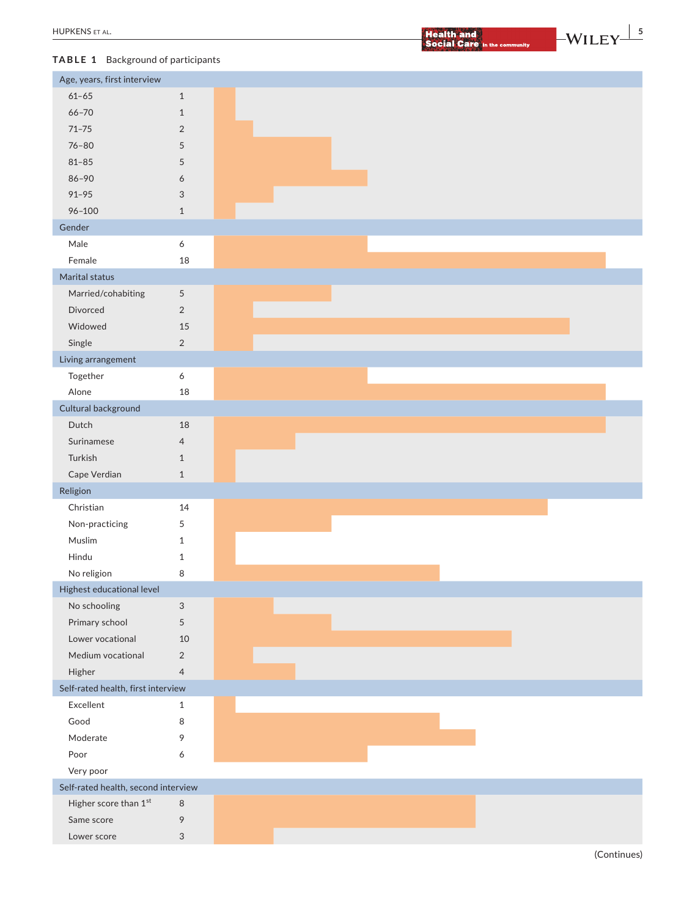**EXERCISE ET AL. EXERCISE EXERCISE EXERCISE EXERCISE EXERCISE EXERCISE EXERCISE AND LODGED ASSOCIATES AND LODGED AND LODGED AND LODGED AND LODGED AND LODGED AND LODGED AND LODGED AND LODGED AND LODGED AND LODGED AND LODG** 

# **TABLE 1** Background of participants

| Age, years, first interview         |                           |  |  |  |  |  |  |
|-------------------------------------|---------------------------|--|--|--|--|--|--|
| $61 - 65$                           | $\mathbf{1}$              |  |  |  |  |  |  |
| $66 - 70$                           | $1\,$                     |  |  |  |  |  |  |
| $71 - 75$                           | $\overline{2}$            |  |  |  |  |  |  |
| $76 - 80$                           | 5                         |  |  |  |  |  |  |
| $81 - 85$                           | 5                         |  |  |  |  |  |  |
| $86 - 90$                           | 6                         |  |  |  |  |  |  |
| $91 - 95$                           | $\ensuremath{\mathsf{3}}$ |  |  |  |  |  |  |
| $96 - 100$                          | $1\,$                     |  |  |  |  |  |  |
| Gender                              |                           |  |  |  |  |  |  |
| Male                                | 6                         |  |  |  |  |  |  |
| Female                              | 18                        |  |  |  |  |  |  |
| Marital status                      |                           |  |  |  |  |  |  |
| Married/cohabiting                  | $\sqrt{5}$                |  |  |  |  |  |  |
| Divorced                            | $\overline{2}$            |  |  |  |  |  |  |
| Widowed                             | 15                        |  |  |  |  |  |  |
| Single                              | $\overline{2}$            |  |  |  |  |  |  |
| Living arrangement                  |                           |  |  |  |  |  |  |
| Together                            | 6                         |  |  |  |  |  |  |
| Alone                               | 18                        |  |  |  |  |  |  |
| Cultural background                 |                           |  |  |  |  |  |  |
| Dutch                               | 18                        |  |  |  |  |  |  |
| Surinamese                          | $\overline{4}$            |  |  |  |  |  |  |
| Turkish                             | $\mathbf{1}$              |  |  |  |  |  |  |
| Cape Verdian                        | $1\,$                     |  |  |  |  |  |  |
| Religion                            |                           |  |  |  |  |  |  |
| Christian                           | 14                        |  |  |  |  |  |  |
| Non-practicing                      | 5                         |  |  |  |  |  |  |
| Muslim                              | $\mathbf{1}$              |  |  |  |  |  |  |
| Hindu                               | $\mathbf{1}$              |  |  |  |  |  |  |
| No religion                         | 8                         |  |  |  |  |  |  |
| Highest educational level           |                           |  |  |  |  |  |  |
| No schooling                        | $\ensuremath{\mathsf{3}}$ |  |  |  |  |  |  |
| Primary school                      | $\sqrt{5}$                |  |  |  |  |  |  |
| Lower vocational                    | 10                        |  |  |  |  |  |  |
| Medium vocational                   | $\overline{2}$            |  |  |  |  |  |  |
| Higher                              | $\overline{4}$            |  |  |  |  |  |  |
| Self-rated health, first interview  |                           |  |  |  |  |  |  |
| Excellent                           | $\mathbf{1}$              |  |  |  |  |  |  |
| Good                                | 8                         |  |  |  |  |  |  |
| Moderate                            | 9                         |  |  |  |  |  |  |
| Poor                                | 6                         |  |  |  |  |  |  |
| Very poor                           |                           |  |  |  |  |  |  |
| Self-rated health, second interview |                           |  |  |  |  |  |  |
| Higher score than 1st               | $\,8\,$                   |  |  |  |  |  |  |
| Same score                          | 9                         |  |  |  |  |  |  |
| Lower score                         | $\ensuremath{\mathsf{3}}$ |  |  |  |  |  |  |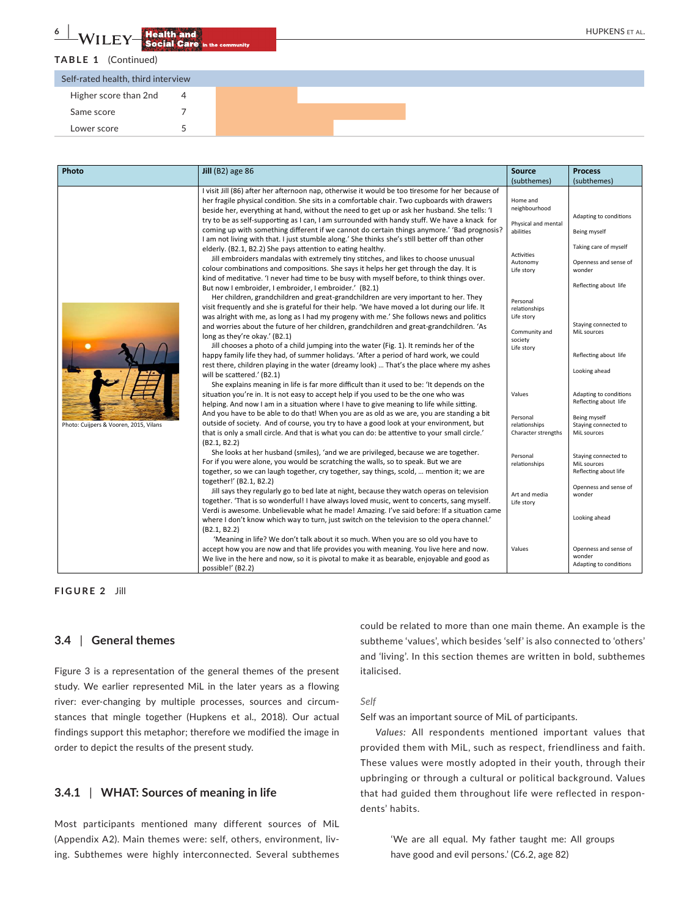**TABLE 1** (Continued)

| Self-rated health, third interview |  |  |
|------------------------------------|--|--|
| Higher score than 2nd              |  |  |
| Same score                         |  |  |
| Lower score                        |  |  |
|                                    |  |  |

| Photo                                  | Jill (B2) age $86$                                                                                                                                                                                                                                                                                                                                                                                                                                                                                                                                                                                                                                                                                                                                                                                                                                                                                                                                                                                                                                                                                                                                                                              | <b>Source</b>                                                                                                                             | <b>Process</b>                                                                                                              |
|----------------------------------------|-------------------------------------------------------------------------------------------------------------------------------------------------------------------------------------------------------------------------------------------------------------------------------------------------------------------------------------------------------------------------------------------------------------------------------------------------------------------------------------------------------------------------------------------------------------------------------------------------------------------------------------------------------------------------------------------------------------------------------------------------------------------------------------------------------------------------------------------------------------------------------------------------------------------------------------------------------------------------------------------------------------------------------------------------------------------------------------------------------------------------------------------------------------------------------------------------|-------------------------------------------------------------------------------------------------------------------------------------------|-----------------------------------------------------------------------------------------------------------------------------|
|                                        |                                                                                                                                                                                                                                                                                                                                                                                                                                                                                                                                                                                                                                                                                                                                                                                                                                                                                                                                                                                                                                                                                                                                                                                                 | (subthemes)                                                                                                                               | (subthemes)                                                                                                                 |
|                                        | I visit Jill (86) after her afternoon nap, otherwise it would be too tiresome for her because of<br>her fragile physical condition. She sits in a comfortable chair. Two cupboards with drawers<br>beside her, everything at hand, without the need to get up or ask her husband. She tells: 'I<br>try to be as self-supporting as I can, I am surrounded with handy stuff. We have a knack for<br>coming up with something different if we cannot do certain things anymore.' 'Bad prognosis?<br>I am not living with that. I just stumble along.' She thinks she's still better off than other<br>elderly. (B2.1, B2.2) She pays attention to eating healthy.<br>Jill embroiders mandalas with extremely tiny stitches, and likes to choose unusual<br>colour combinations and compositions. She says it helps her get through the day. It is<br>kind of meditative. 'I never had time to be busy with myself before, to think things over.<br>But now I embroider, I embroider, I embroider.' (B2.1)<br>Her children, grandchildren and great-grandchildren are very important to her. They<br>visit frequently and she is grateful for their help. 'We have moved a lot during our life. It | Home and<br>neighbourhood<br>Physical and mental<br>abilities<br><b>Activities</b><br>Autonomy<br>Life story<br>Personal<br>relationships | Adapting to conditions<br>Being myself<br>Taking care of myself<br>Openness and sense of<br>wonder<br>Reflecting about life |
|                                        | was alright with me, as long as I had my progeny with me.' She follows news and politics<br>and worries about the future of her children, grandchildren and great-grandchildren. 'As<br>long as they're okay.' (B2.1)<br>Jill chooses a photo of a child jumping into the water (Fig. 1). It reminds her of the<br>happy family life they had, of summer holidays. 'After a period of hard work, we could<br>rest there, children playing in the water (dreamy look)  That's the place where my ashes<br>will be scattered.' (B2.1)                                                                                                                                                                                                                                                                                                                                                                                                                                                                                                                                                                                                                                                             | Life story<br>Community and<br>society<br>Life story                                                                                      | Staying connected to<br>MiL sources<br>Reflecting about life<br>Looking ahead                                               |
| Photo: Cuijpers & Vooren, 2015, Vilans | She explains meaning in life is far more difficult than it used to be: 'It depends on the<br>situation you're in. It is not easy to accept help if you used to be the one who was<br>helping. And now I am in a situation where I have to give meaning to life while sitting.<br>And you have to be able to do that! When you are as old as we are, you are standing a bit<br>outside of society. And of course, you try to have a good look at your environment, but<br>that is only a small circle. And that is what you can do: be attentive to your small circle.'<br>(B2.1, B2.2)                                                                                                                                                                                                                                                                                                                                                                                                                                                                                                                                                                                                          | Values<br>Personal<br>relationships<br>Character strengths                                                                                | Adapting to conditions<br>Reflecting about life<br><b>Being myself</b><br>Staying connected to<br>MiL sources               |
|                                        | She looks at her husband (smiles), 'and we are privileged, because we are together.<br>For if you were alone, you would be scratching the walls, so to speak. But we are<br>together, so we can laugh together, cry together, say things, scold,  mention it; we are<br>together!' (B2.1, B2.2)                                                                                                                                                                                                                                                                                                                                                                                                                                                                                                                                                                                                                                                                                                                                                                                                                                                                                                 | Personal<br>relationships                                                                                                                 | Staying connected to<br>MiL sources<br>Reflecting about life                                                                |
|                                        | Jill says they regularly go to bed late at night, because they watch operas on television<br>together. 'That is so wonderful! I have always loved music, went to concerts, sang myself.<br>Verdi is awesome. Unbelievable what he made! Amazing. I've said before: If a situation came<br>where I don't know which way to turn, just switch on the television to the opera channel.'<br>(B2.1, B2.2)                                                                                                                                                                                                                                                                                                                                                                                                                                                                                                                                                                                                                                                                                                                                                                                            | Art and media<br>Life story                                                                                                               | Openness and sense of<br>wonder<br>Looking ahead                                                                            |
|                                        | 'Meaning in life? We don't talk about it so much. When you are so old you have to<br>accept how you are now and that life provides you with meaning. You live here and now.<br>We live in the here and now, so it is pivotal to make it as bearable, enjoyable and good as<br>possible!' (B2.2)                                                                                                                                                                                                                                                                                                                                                                                                                                                                                                                                                                                                                                                                                                                                                                                                                                                                                                 | Values                                                                                                                                    | Openness and sense of<br>wonder<br>Adapting to conditions                                                                   |

## **FIGURE 2** Jill

# **3.4** | **General themes**

Figure 3 is a representation of the general themes of the present study. We earlier represented MiL in the later years as a flowing river: ever-changing by multiple processes, sources and circumstances that mingle together (Hupkens et al., 2018). Our actual findings support this metaphor; therefore we modified the image in order to depict the results of the present study.

# **3.4.1** | **WHAT: Sources of meaning in life**

Most participants mentioned many different sources of MiL (Appendix A2). Main themes were: self, others, environment, living. Subthemes were highly interconnected. Several subthemes

could be related to more than one main theme. An example is the subtheme 'values', which besides 'self' is also connected to 'others' and 'living'. In this section themes are written in bold, subthemes italicised.

#### *Self*

Self was an important source of MiL of participants.

*Values:* All respondents mentioned important values that provided them with MiL, such as respect, friendliness and faith. These values were mostly adopted in their youth, through their upbringing or through a cultural or political background. Values that had guided them throughout life were reflected in respondents' habits.

> 'We are all equal. My father taught me: All groups have good and evil persons.' (C6.2, age 82)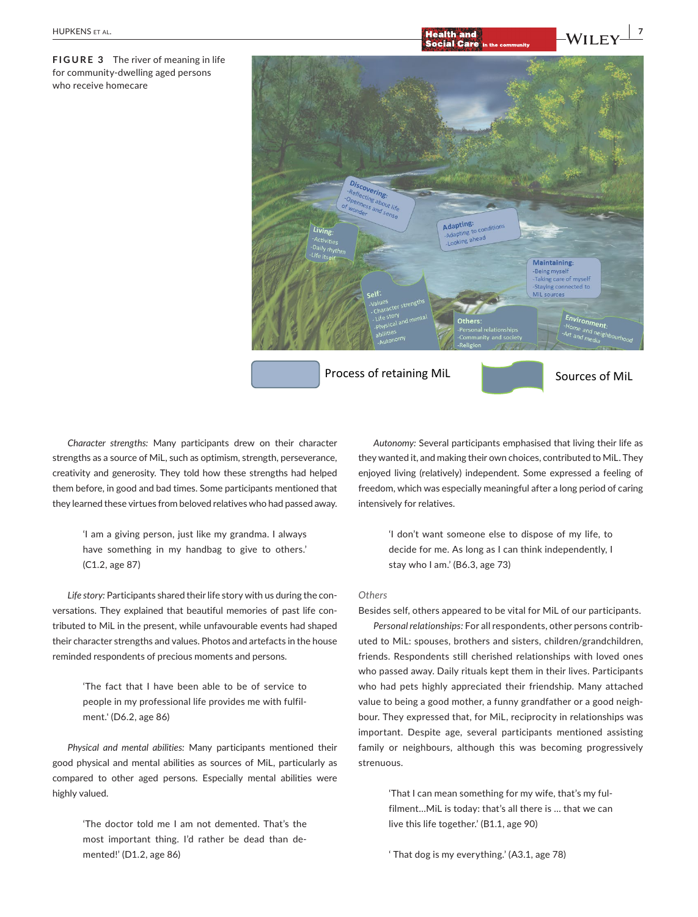**FIGURE 3** The river of meaning in life for community-dwelling aged persons who receive homecare



*Character strengths:* Many participants drew on their character strengths as a source of MiL, such as optimism, strength, perseverance, creativity and generosity. They told how these strengths had helped them before, in good and bad times. Some participants mentioned that they learned these virtues from beloved relatives who had passed away.

> 'I am a giving person, just like my grandma. I always have something in my handbag to give to others.' (C1.2, age 87)

*Life story:* Participants shared their life story with us during the conversations. They explained that beautiful memories of past life contributed to MiL in the present, while unfavourable events had shaped their character strengths and values. Photos and artefacts in the house reminded respondents of precious moments and persons.

> 'The fact that I have been able to be of service to people in my professional life provides me with fulfilment.' (D6.2, age 86)

*Physical and mental abilities:* Many participants mentioned their good physical and mental abilities as sources of MiL, particularly as compared to other aged persons. Especially mental abilities were highly valued.

> 'The doctor told me I am not demented. That's the most important thing. I'd rather be dead than demented!' (D1.2, age 86)

*Autonomy:* Several participants emphasised that living their life as they wanted it, and making their own choices, contributed to MiL. They enjoyed living (relatively) independent. Some expressed a feeling of freedom, which was especially meaningful after a long period of caring intensively for relatives.

> 'I don't want someone else to dispose of my life, to decide for me. As long as I can think independently, I stay who I am.' (B6.3, age 73)

#### *Others*

Besides self, others appeared to be vital for MiL of our participants.

*Personal relationships:* For all respondents, other persons contributed to MiL: spouses, brothers and sisters, children/grandchildren, friends. Respondents still cherished relationships with loved ones who passed away. Daily rituals kept them in their lives. Participants who had pets highly appreciated their friendship. Many attached value to being a good mother, a funny grandfather or a good neighbour. They expressed that, for MiL, reciprocity in relationships was important. Despite age, several participants mentioned assisting family or neighbours, although this was becoming progressively strenuous.

> 'That I can mean something for my wife, that's my fulfilment…MiL is today: that's all there is … that we can live this life together.' (B1.1, age 90)

' That dog is my everything.' (A3.1, age 78)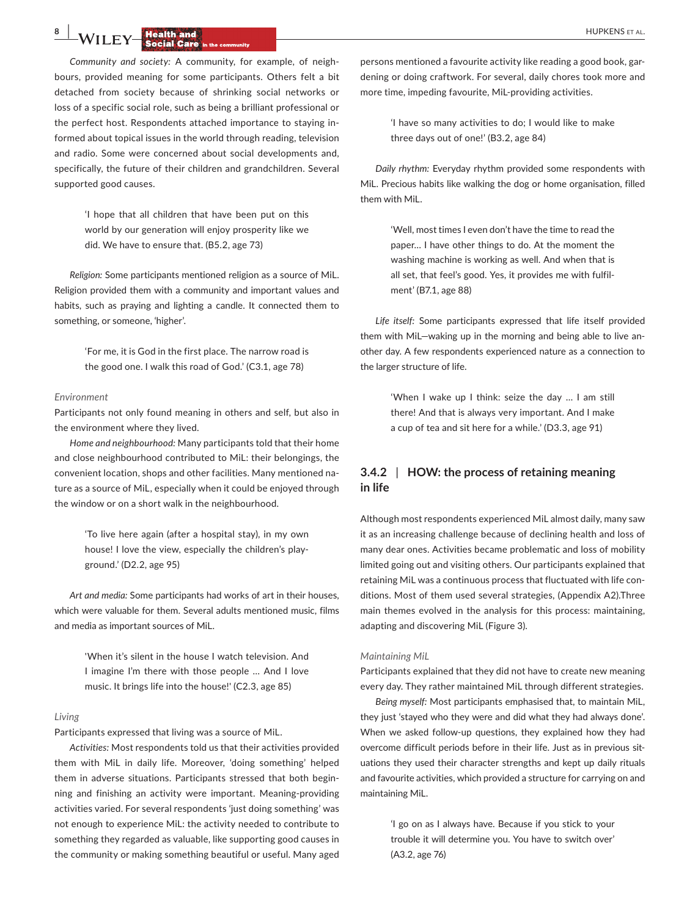**8 | 14/11 FM HUPKENS** ET AL.

*Community and society:* A community, for example, of neighbours, provided meaning for some participants. Others felt a bit detached from society because of shrinking social networks or loss of a specific social role, such as being a brilliant professional or the perfect host. Respondents attached importance to staying informed about topical issues in the world through reading, television and radio. Some were concerned about social developments and, specifically, the future of their children and grandchildren. Several supported good causes.

> 'I hope that all children that have been put on this world by our generation will enjoy prosperity like we did. We have to ensure that. (B5.2, age 73)

*Religion:* Some participants mentioned religion as a source of MiL. Religion provided them with a community and important values and habits, such as praying and lighting a candle. It connected them to something, or someone, 'higher'.

> 'For me, it is God in the first place. The narrow road is the good one. I walk this road of God.' (C3.1, age 78)

#### *Environment*

Participants not only found meaning in others and self, but also in the environment where they lived.

*Home and neighbourhood:* Many participants told that their home and close neighbourhood contributed to MiL: their belongings, the convenient location, shops and other facilities. Many mentioned nature as a source of MiL, especially when it could be enjoyed through the window or on a short walk in the neighbourhood.

> 'To live here again (after a hospital stay), in my own house! I love the view, especially the children's playground.' (D2.2, age 95)

*Art and media:* Some participants had works of art in their houses, which were valuable for them. Several adults mentioned music, films and media as important sources of MiL.

> 'When it's silent in the house I watch television. And I imagine I'm there with those people … And I love music. It brings life into the house!' (C2.3, age 85)

#### *Living*

Participants expressed that living was a source of MiL.

*Activities:* Most respondents told us that their activities provided them with MiL in daily life. Moreover, 'doing something' helped them in adverse situations. Participants stressed that both beginning and finishing an activity were important. Meaning-providing activities varied. For several respondents 'just doing something' was not enough to experience MiL: the activity needed to contribute to something they regarded as valuable, like supporting good causes in the community or making something beautiful or useful. Many aged persons mentioned a favourite activity like reading a good book, gardening or doing craftwork. For several, daily chores took more and more time, impeding favourite, MiL-providing activities.

> 'I have so many activities to do; I would like to make three days out of one!' (B3.2, age 84)

*Daily rhythm:* Everyday rhythm provided some respondents with MiL. Precious habits like walking the dog or home organisation, filled them with MiL.

> 'Well, most times I even don't have the time to read the paper… I have other things to do. At the moment the washing machine is working as well. And when that is all set, that feel's good. Yes, it provides me with fulfilment' (B7.1, age 88)

*Life itself:* Some participants expressed that life itself provided them with MiL—waking up in the morning and being able to live another day. A few respondents experienced nature as a connection to the larger structure of life.

> 'When I wake up I think: seize the day … I am still there! And that is always very important. And I make a cup of tea and sit here for a while.' (D3.3, age 91)

# **3.4.2** | **HOW: the process of retaining meaning in life**

Although most respondents experienced MiL almost daily, many saw it as an increasing challenge because of declining health and loss of many dear ones. Activities became problematic and loss of mobility limited going out and visiting others. Our participants explained that retaining MiL was a continuous process that fluctuated with life conditions. Most of them used several strategies, (Appendix A2).Three main themes evolved in the analysis for this process: maintaining, adapting and discovering MiL (Figure 3).

#### *Maintaining MiL*

Participants explained that they did not have to create new meaning every day. They rather maintained MiL through different strategies.

*Being myself:* Most participants emphasised that, to maintain MiL, they just 'stayed who they were and did what they had always done'. When we asked follow-up questions, they explained how they had overcome difficult periods before in their life. Just as in previous situations they used their character strengths and kept up daily rituals and favourite activities, which provided a structure for carrying on and maintaining MiL.

> 'I go on as I always have. Because if you stick to your trouble it will determine you. You have to switch over' (A3.2, age 76)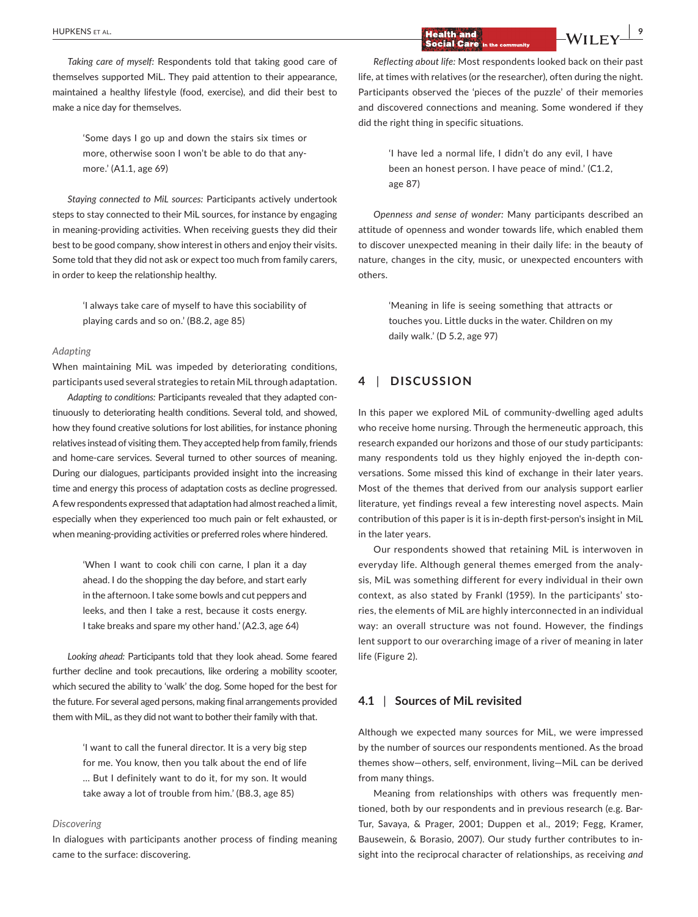*Taking care of myself:* Respondents told that taking good care of themselves supported MiL. They paid attention to their appearance, maintained a healthy lifestyle (food, exercise), and did their best to make a nice day for themselves.

> 'Some days I go up and down the stairs six times or more, otherwise soon I won't be able to do that anymore.' (A1.1, age 69)

*Staying connected to MiL sources:* Participants actively undertook steps to stay connected to their MiL sources, for instance by engaging in meaning-providing activities. When receiving guests they did their best to be good company, show interest in others and enjoy their visits. Some told that they did not ask or expect too much from family carers, in order to keep the relationship healthy.

> 'I always take care of myself to have this sociability of playing cards and so on.' (B8.2, age 85)

#### *Adapting*

When maintaining MiL was impeded by deteriorating conditions, participants used several strategies to retain MiL through adaptation.

*Adapting to conditions:* Participants revealed that they adapted continuously to deteriorating health conditions. Several told, and showed, how they found creative solutions for lost abilities, for instance phoning relatives instead of visiting them. They accepted help from family, friends and home-care services. Several turned to other sources of meaning. During our dialogues, participants provided insight into the increasing time and energy this process of adaptation costs as decline progressed. A few respondents expressed that adaptation had almost reached a limit, especially when they experienced too much pain or felt exhausted, or when meaning-providing activities or preferred roles where hindered.

> 'When I want to cook chili con carne, I plan it a day ahead. I do the shopping the day before, and start early in the afternoon. I take some bowls and cut peppers and leeks, and then I take a rest, because it costs energy. I take breaks and spare my other hand.' (A2.3, age 64)

*Looking ahead:* Participants told that they look ahead. Some feared further decline and took precautions, like ordering a mobility scooter, which secured the ability to 'walk' the dog. Some hoped for the best for the future. For several aged persons, making final arrangements provided them with MiL, as they did not want to bother their family with that.

> 'I want to call the funeral director. It is a very big step for me. You know, then you talk about the end of life … But I definitely want to do it, for my son. It would take away a lot of trouble from him.' (B8.3, age 85)

#### *Discovering*

In dialogues with participants another process of finding meaning came to the surface: discovering.

# **Health and <b>a B EXECUTE A EXECUTE A EXECUTE A EXECUTE A EXECUTE A EXECUTE A EXECUTE A EXECUTE A EXECUTE A EXECUTE A EXECUTE A EXECUTE A EXECUTE A EXECUTE A EXECUTE A EXECUTE A EXECUTE**

*Reflecting about life:* Most respondents looked back on their past life, at times with relatives (or the researcher), often during the night. Participants observed the 'pieces of the puzzle' of their memories and discovered connections and meaning. Some wondered if they did the right thing in specific situations.

> 'I have led a normal life, I didn't do any evil, I have been an honest person. I have peace of mind.' (C1.2, age 87)

*Openness and sense of wonder:* Many participants described an attitude of openness and wonder towards life, which enabled them to discover unexpected meaning in their daily life: in the beauty of nature, changes in the city, music, or unexpected encounters with others.

> 'Meaning in life is seeing something that attracts or touches you. Little ducks in the water. Children on my daily walk.' (D 5.2, age 97)

# **4** | **DISCUSSION**

In this paper we explored MiL of community-dwelling aged adults who receive home nursing. Through the hermeneutic approach, this research expanded our horizons and those of our study participants: many respondents told us they highly enjoyed the in-depth conversations. Some missed this kind of exchange in their later years. Most of the themes that derived from our analysis support earlier literature, yet findings reveal a few interesting novel aspects. Main contribution of this paper is it is in-depth first-person's insight in MiL in the later years.

Our respondents showed that retaining MiL is interwoven in everyday life. Although general themes emerged from the analysis, MiL was something different for every individual in their own context, as also stated by Frankl (1959). In the participants' stories, the elements of MiL are highly interconnected in an individual way: an overall structure was not found. However, the findings lent support to our overarching image of a river of meaning in later life (Figure 2).

## **4.1** | **Sources of MiL revisited**

Although we expected many sources for MiL, we were impressed by the number of sources our respondents mentioned. As the broad themes show—others, self, environment, living—MiL can be derived from many things.

Meaning from relationships with others was frequently mentioned, both by our respondents and in previous research (e.g. Bar-Tur, Savaya, & Prager, 2001; Duppen et al., 2019; Fegg, Kramer, Bausewein, & Borasio, 2007). Our study further contributes to insight into the reciprocal character of relationships, as receiving *and*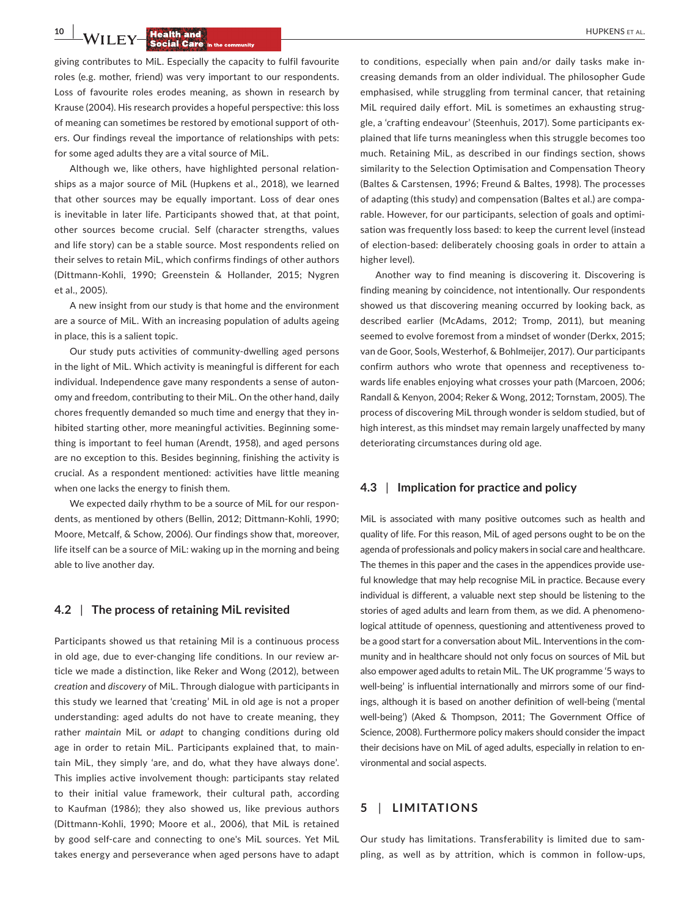**10 | <b>14/11 F 15 HUPKENS** ET AL.

giving contributes to MiL. Especially the capacity to fulfil favourite roles (e.g. mother, friend) was very important to our respondents. Loss of favourite roles erodes meaning, as shown in research by Krause (2004). His research provides a hopeful perspective: this loss of meaning can sometimes be restored by emotional support of others. Our findings reveal the importance of relationships with pets: for some aged adults they are a vital source of MiL.

Although we, like others, have highlighted personal relationships as a major source of MiL (Hupkens et al., 2018), we learned that other sources may be equally important. Loss of dear ones is inevitable in later life. Participants showed that, at that point, other sources become crucial. Self (character strengths, values and life story) can be a stable source. Most respondents relied on their selves to retain MiL, which confirms findings of other authors (Dittmann-Kohli, 1990; Greenstein & Hollander, 2015; Nygren et al., 2005).

A new insight from our study is that home and the environment are a source of MiL. With an increasing population of adults ageing in place, this is a salient topic.

Our study puts activities of community-dwelling aged persons in the light of MiL. Which activity is meaningful is different for each individual. Independence gave many respondents a sense of autonomy and freedom, contributing to their MiL. On the other hand, daily chores frequently demanded so much time and energy that they inhibited starting other, more meaningful activities. Beginning something is important to feel human (Arendt, 1958), and aged persons are no exception to this. Besides beginning, finishing the activity is crucial. As a respondent mentioned: activities have little meaning when one lacks the energy to finish them.

We expected daily rhythm to be a source of MiL for our respondents, as mentioned by others (Bellin, 2012; Dittmann-Kohli, 1990; Moore, Metcalf, & Schow, 2006). Our findings show that, moreover, life itself can be a source of MiL: waking up in the morning and being able to live another day.

## **4.2** | **The process of retaining MiL revisited**

Participants showed us that retaining Mil is a continuous process in old age, due to ever-changing life conditions. In our review article we made a distinction, like Reker and Wong (2012), between *creation* and *discovery* of MiL. Through dialogue with participants in this study we learned that 'creating' MiL in old age is not a proper understanding: aged adults do not have to create meaning, they rather *maintain* MiL or *adapt* to changing conditions during old age in order to retain MiL. Participants explained that, to maintain MiL, they simply 'are, and do, what they have always done'. This implies active involvement though: participants stay related to their initial value framework, their cultural path, according to Kaufman (1986); they also showed us, like previous authors (Dittmann-Kohli, 1990; Moore et al., 2006), that MiL is retained by good self-care and connecting to one's MiL sources. Yet MiL takes energy and perseverance when aged persons have to adapt

to conditions, especially when pain and/or daily tasks make increasing demands from an older individual. The philosopher Gude emphasised, while struggling from terminal cancer, that retaining MiL required daily effort. MiL is sometimes an exhausting struggle, a 'crafting endeavour' (Steenhuis, 2017). Some participants explained that life turns meaningless when this struggle becomes too much. Retaining MiL, as described in our findings section, shows similarity to the Selection Optimisation and Compensation Theory (Baltes & Carstensen, 1996; Freund & Baltes, 1998). The processes of adapting (this study) and compensation (Baltes et al.) are comparable. However, for our participants, selection of goals and optimisation was frequently loss based: to keep the current level (instead of election-based: deliberately choosing goals in order to attain a higher level).

Another way to find meaning is discovering it. Discovering is finding meaning by coincidence, not intentionally. Our respondents showed us that discovering meaning occurred by looking back, as described earlier (McAdams, 2012; Tromp, 2011), but meaning seemed to evolve foremost from a mindset of wonder (Derkx, 2015; van de Goor, Sools, Westerhof, & Bohlmeijer, 2017). Our participants confirm authors who wrote that openness and receptiveness towards life enables enjoying what crosses your path (Marcoen, 2006; Randall & Kenyon, 2004; Reker & Wong, 2012; Tornstam, 2005). The process of discovering MiL through wonder is seldom studied, but of high interest, as this mindset may remain largely unaffected by many deteriorating circumstances during old age.

## **4.3** | **Implication for practice and policy**

MiL is associated with many positive outcomes such as health and quality of life. For this reason, MiL of aged persons ought to be on the agenda of professionals and policy makers in social care and healthcare. The themes in this paper and the cases in the appendices provide useful knowledge that may help recognise MiL in practice. Because every individual is different, a valuable next step should be listening to the stories of aged adults and learn from them, as we did. A phenomenological attitude of openness, questioning and attentiveness proved to be a good start for a conversation about MiL. Interventions in the community and in healthcare should not only focus on sources of MiL but also empower aged adults to retain MiL. The UK programme '5 ways to well-being' is influential internationally and mirrors some of our findings, although it is based on another definition of well-being ('mental well-being') (Aked & Thompson, 2011; The Government Office of Science, 2008). Furthermore policy makers should consider the impact their decisions have on MiL of aged adults, especially in relation to environmental and social aspects.

# **5** | **LIMITATIONS**

Our study has limitations. Transferability is limited due to sampling, as well as by attrition, which is common in follow-ups,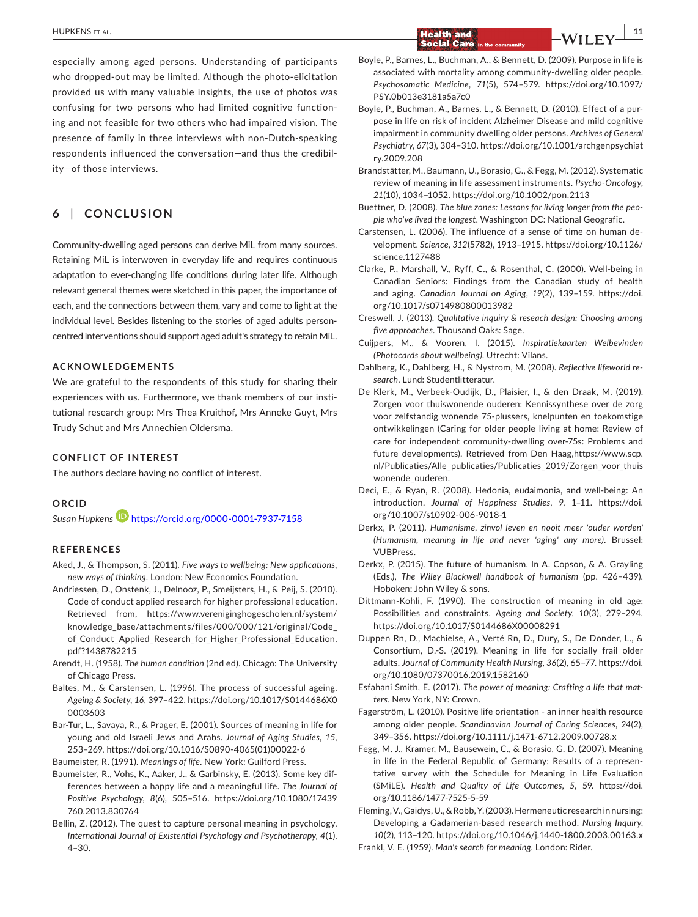**|** HUPKENS et al. **11 Social Care** 

especially among aged persons. Understanding of participants who dropped-out may be limited. Although the photo-elicitation provided us with many valuable insights, the use of photos was confusing for two persons who had limited cognitive functioning and not feasible for two others who had impaired vision. The presence of family in three interviews with non-Dutch-speaking respondents influenced the conversation—and thus the credibility—of those interviews.

# **6** | **CONCLUSION**

Community-dwelling aged persons can derive MiL from many sources. Retaining MiL is interwoven in everyday life and requires continuous adaptation to ever-changing life conditions during later life. Although relevant general themes were sketched in this paper, the importance of each, and the connections between them, vary and come to light at the individual level. Besides listening to the stories of aged adults personcentred interventions should support aged adult's strategy to retain MiL.

# **ACKNOWLEDGEMENTS**

We are grateful to the respondents of this study for sharing their experiences with us. Furthermore, we thank members of our institutional research group: Mrs Thea Kruithof, Mrs Anneke Guyt, Mrs Trudy Schut and Mrs Annechien Oldersma.

# **CONFLICT OF INTEREST**

The authors declare having no conflict of interest.

# **ORCID**

*Susan Hupkens* <https://orcid.org/0000-0001-7937-7158>

# **REFERENCES**

- Aked, J., & Thompson, S. (2011). *Five ways to wellbeing: New applications, new ways of thinking*. London: New Economics Foundation.
- Andriessen, D., Onstenk, J., Delnooz, P., Smeijsters, H., & Peij, S. (2010). Code of conduct applied research for higher professional education. Retrieved from, [https://www.vereniginghogescholen.nl/system/](https://www.vereniginghogescholen.nl/system/knowledge_base/attachments/files/000/000/121/original/Code_of_Conduct_Applied_Research_for_Higher_Professional_Education.pdf?1438782215) [knowledge\\_base/attachments/files/000/000/121/original/Code\\_](https://www.vereniginghogescholen.nl/system/knowledge_base/attachments/files/000/000/121/original/Code_of_Conduct_Applied_Research_for_Higher_Professional_Education.pdf?1438782215) [of\\_Conduct\\_Applied\\_Research\\_for\\_Higher\\_Professional\\_Education.](https://www.vereniginghogescholen.nl/system/knowledge_base/attachments/files/000/000/121/original/Code_of_Conduct_Applied_Research_for_Higher_Professional_Education.pdf?1438782215) [pdf?1438782215](https://www.vereniginghogescholen.nl/system/knowledge_base/attachments/files/000/000/121/original/Code_of_Conduct_Applied_Research_for_Higher_Professional_Education.pdf?1438782215)
- Arendt, H. (1958). *The human condition* (2nd ed). Chicago: The University of Chicago Press.
- Baltes, M., & Carstensen, L. (1996). The process of successful ageing. *Ageing & Society*, *16*, 397–422. [https://doi.org/10.1017/S0144686X0](https://doi.org/10.1017/S0144686X00003603) [0003603](https://doi.org/10.1017/S0144686X00003603)
- Bar-Tur, L., Savaya, R., & Prager, E. (2001). Sources of meaning in life for young and old Israeli Jews and Arabs. *Journal of Aging Studies*, *15*, 253–269. [https://doi.org/10.1016/S0890-4065\(01\)00022-6](https://doi.org/10.1016/S0890-4065(01)00022-6)

Baumeister, R. (1991). *Meanings of life*. New York: Guilford Press.

- Baumeister, R., Vohs, K., Aaker, J., & Garbinsky, E. (2013). Some key differences between a happy life and a meaningful life. *The Journal of Positive Psychology*, *8*(6), 505–516. [https://doi.org/10.1080/17439](https://doi.org/10.1080/17439760.2013.830764) [760.2013.830764](https://doi.org/10.1080/17439760.2013.830764)
- Bellin, Z. (2012). The quest to capture personal meaning in psychology. *International Journal of Existential Psychology and Psychotherapy*, *4*(1), 4–30.
- Boyle, P., Barnes, L., Buchman, A., & Bennett, D. (2009). Purpose in life is associated with mortality among community-dwelling older people. *Psychosomatic Medicine*, *71*(5), 574–579. [https://doi.org/10.1097/](https://doi.org/10.1097/PSY.0b013e3181a5a7c0) [PSY.0b013e3181a5a7c0](https://doi.org/10.1097/PSY.0b013e3181a5a7c0)
- Boyle, P., Buchman, A., Barnes, L., & Bennett, D. (2010). Effect of a purpose in life on risk of incident Alzheimer Disease and mild cognitive impairment in community dwelling older persons. *Archives of General Psychiatry*, *67*(3), 304–310. [https://doi.org/10.1001/archgenpsychiat](https://doi.org/10.1001/archgenpsychiatry.2009.208) [ry.2009.208](https://doi.org/10.1001/archgenpsychiatry.2009.208)
- Brandstätter, M., Baumann, U., Borasio, G., & Fegg, M. (2012). Systematic review of meaning in life assessment instruments. *Psycho-Oncology*, *21*(10), 1034–1052.<https://doi.org/10.1002/pon.2113>
- Buettner, D. (2008). *The blue zones: Lessons for living longer from the people who've lived the longest*. Washington DC: National Geografic.
- Carstensen, L. (2006). The influence of a sense of time on human development. *Science*, *312*(5782), 1913–1915. [https://doi.org/10.1126/](https://doi.org/10.1126/science.1127488) [science.1127488](https://doi.org/10.1126/science.1127488)
- Clarke, P., Marshall, V., Ryff, C., & Rosenthal, C. (2000). Well-being in Canadian Seniors: Findings from the Canadian study of health and aging. *Canadian Journal on Aging*, *19*(2), 139–159. [https://doi.](https://doi.org/10.1017/s0714980800013982) [org/10.1017/s0714980800013982](https://doi.org/10.1017/s0714980800013982)
- Creswell, J. (2013). *Qualitative inquiry & reseach design: Choosing among five approaches*. Thousand Oaks: Sage.
- Cuijpers, M., & Vooren, I. (2015). *Inspiratiekaarten Welbevinden (Photocards about wellbeing)*. Utrecht: Vilans.
- Dahlberg, K., Dahlberg, H., & Nystrom, M. (2008). *Reflective lifeworld research*. Lund: Studentlitteratur.
- De Klerk, M., Verbeek-Oudijk, D., Plaisier, I., & den Draak, M. (2019). Zorgen voor thuiswonende ouderen: Kennissynthese over de zorg voor zelfstandig wonende 75-plussers, knelpunten en toekomstige ontwikkelingen (Caring for older people living at home: Review of care for independent community-dwelling over-75s: Problems and future developments). Retrieved from Den Haag,[https://www.scp.](https://www.scp.nl/Publicaties/Alle_publicaties/Publicaties_2019/Zorgen_voor_thuiswonende_ouderen) [nl/Publicaties/Alle\\_publicaties/Publicaties\\_2019/Zorgen\\_voor\\_thuis](https://www.scp.nl/Publicaties/Alle_publicaties/Publicaties_2019/Zorgen_voor_thuiswonende_ouderen) [wonende\\_ouderen](https://www.scp.nl/Publicaties/Alle_publicaties/Publicaties_2019/Zorgen_voor_thuiswonende_ouderen).
- Deci, E., & Ryan, R. (2008). Hedonia, eudaimonia, and well-being: An introduction. *Journal of Happiness Studies*, *9*, 1–11. [https://doi.](https://doi.org/10.1007/s10902-006-9018-1) [org/10.1007/s10902-006-9018-1](https://doi.org/10.1007/s10902-006-9018-1)
- Derkx, P. (2011). *Humanisme, zinvol leven en nooit meer 'ouder worden' (Humanism, meaning in life and never 'aging' any more)*. Brussel: VUBPress.
- Derkx, P. (2015). The future of humanism. In A. Copson, & A. Grayling (Eds.), *The Wiley Blackwell handbook of humanism* (pp. 426–439). Hoboken: John Wiley & sons.
- Dittmann-Kohli, F. (1990). The construction of meaning in old age: Possibilities and constraints. *Ageing and Society*, *10*(3), 279–294. <https://doi.org/10.1017/S0144686X00008291>
- Duppen Rn, D., Machielse, A., Verté Rn, D., Dury, S., De Donder, L., & Consortium, D.-S. (2019). Meaning in life for socially frail older adults. *Journal of Community Health Nursing*, *36*(2), 65–77. [https://doi.](https://doi.org/10.1080/07370016.2019.1582160) [org/10.1080/07370016.2019.1582160](https://doi.org/10.1080/07370016.2019.1582160)
- Esfahani Smith, E. (2017). *The power of meaning: Crafting a life that matters*. New York, NY: Crown.
- Fagerström, L. (2010). Positive life orientation an inner health resource among older people. *Scandinavian Journal of Caring Sciences*, *24*(2), 349–356.<https://doi.org/10.1111/j.1471-6712.2009.00728.x>
- Fegg, M. J., Kramer, M., Bausewein, C., & Borasio, G. D. (2007). Meaning in life in the Federal Republic of Germany: Results of a representative survey with the Schedule for Meaning in Life Evaluation (SMiLE). *Health and Quality of Life Outcomes*, *5*, 59. [https://doi.](https://doi.org/10.1186/1477-7525-5-59) [org/10.1186/1477-7525-5-59](https://doi.org/10.1186/1477-7525-5-59)

Fleming, V., Gaidys, U., & Robb, Y. (2003). Hermeneutic research in nursing: Developing a Gadamerian-based research method. *Nursing Inquiry*, *10*(2), 113–120. <https://doi.org/10.1046/j.1440-1800.2003.00163.x> Frankl, V. E. (1959). *Man's search for meaning*. London: Rider.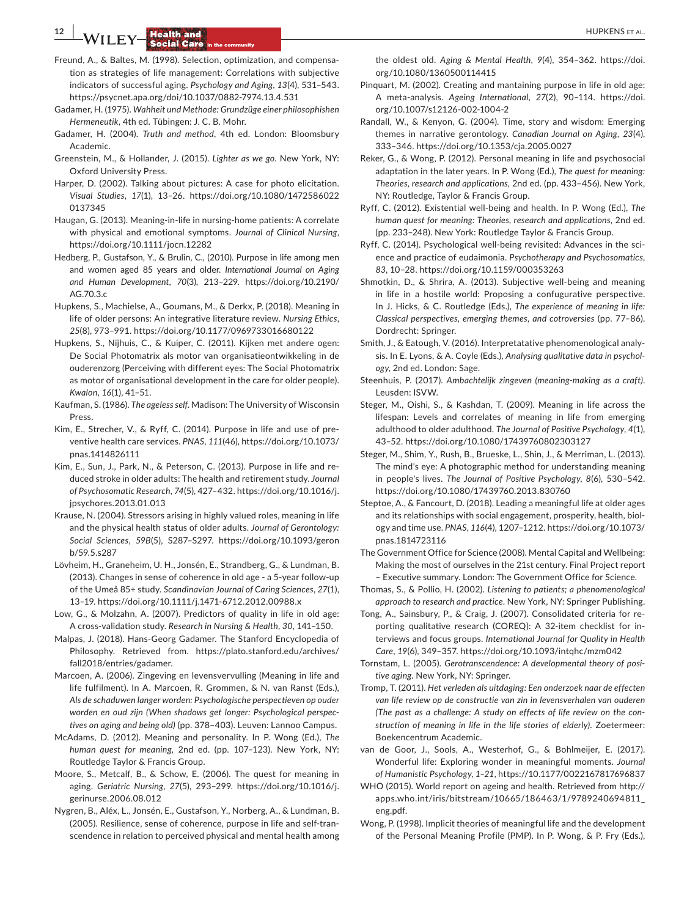# **12 | <b>14/11 FY Health and 14** *CONTRACTE ALCOHOLOGY* **EXISTENCY CONTRACTE ALCOHOLOGY EXISTENCY CONTRACTE ALCOHOLOGY EXISTENCY**

- Freund, A., & Baltes, M. (1998). Selection, optimization, and compensation as strategies of life management: Correlations with subjective indicators of successful aging. *Psychology and Aging*, *13*(4), 531–543. <https://psycnet.apa.org/doi/10.1037/0882-7974.13.4.531>
- Gadamer, H. (1975). *Wahheit und Methode: Grundzüge einer philosophishen Hermeneutik*, 4th ed. Tübingen: J. C. B. Mohr.
- Gadamer, H. (2004). *Truth and method*, 4th ed. London: Bloomsbury Academic.
- Greenstein, M., & Hollander, J. (2015). *Lighter as we go*. New York, NY: Oxford University Press.
- Harper, D. (2002). Talking about pictures: A case for photo elicitation. *Visual Studies*, *17*(1), 13–26. [https://doi.org/10.1080/1472586022](https://doi.org/10.1080/14725860220137345) [0137345](https://doi.org/10.1080/14725860220137345)
- Haugan, G. (2013). Meaning-in-life in nursing-home patients: A correlate with physical and emotional symptoms. *Journal of Clinical Nursing*, <https://doi.org/10.1111/jocn.12282>
- Hedberg, P., Gustafson, Y., & Brulin, C., (2010). Purpose in life among men and women aged 85 years and older. *International Journal on Aging and Human Development*, *70*(3), 213–229. [https://doi.org/10.2190/](https://doi.org/10.2190/AG.70.3.c) [AG.70.3.c](https://doi.org/10.2190/AG.70.3.c)
- Hupkens, S., Machielse, A., Goumans, M., & Derkx, P. (2018). Meaning in life of older persons: An integrative literature review. *Nursing Ethics*, *25*(8), 973–991.<https://doi.org/10.1177/0969733016680122>
- Hupkens, S., Nijhuis, C., & Kuiper, C. (2011). Kijken met andere ogen: De Social Photomatrix als motor van organisatieontwikkeling in de ouderenzorg (Perceiving with different eyes: The Social Photomatrix as motor of organisational development in the care for older people). *Kwalon*, *16*(1), 41–51.
- Kaufman, S. (1986). *The ageless self*. Madison: The University of Wisconsin Press.
- Kim, E., Strecher, V., & Ryff, C. (2014). Purpose in life and use of preventive health care services. *PNAS*, *111*(46), [https://doi.org/10.1073/](https://doi.org/10.1073/pnas.1414826111) [pnas.1414826111](https://doi.org/10.1073/pnas.1414826111)
- Kim, E., Sun, J., Park, N., & Peterson, C. (2013). Purpose in life and reduced stroke in older adults: The health and retirement study. *Journal of Psychosomatic Research*, *74*(5), 427–432. [https://doi.org/10.1016/j.](https://doi.org/10.1016/j.jpsychores.2013.01.013) [jpsychores.2013.01.013](https://doi.org/10.1016/j.jpsychores.2013.01.013)
- Krause, N. (2004). Stressors arising in highly valued roles, meaning in life and the physical health status of older adults. *Journal of Gerontology: Social Sciences*, *59B*(5), S287–S297. [https://doi.org/10.1093/geron](https://doi.org/10.1093/geronb/59.5.s287) [b/59.5.s287](https://doi.org/10.1093/geronb/59.5.s287)
- Lövheim, H., Graneheim, U. H., Jonsén, E., Strandberg, G., & Lundman, B. (2013). Changes in sense of coherence in old age - a 5-year follow-up of the Umeå 85+ study. *Scandinavian Journal of Caring Sciences*, *27*(1), 13–19. <https://doi.org/10.1111/j.1471-6712.2012.00988.x>
- Low, G., & Molzahn, A. (2007). Predictors of quality in life in old age: A cross-validation study. *Research in Nursing & Health*, *30*, 141–150.
- Malpas, J. (2018). Hans-Georg Gadamer. The Stanford Encyclopedia of Philosophy. Retrieved from. [https://plato.stanford.edu/archives/](https://plato.stanford.edu/archives/fall2018/entries/gadamer) [fall2018/entries/gadamer.](https://plato.stanford.edu/archives/fall2018/entries/gadamer)
- Marcoen, A. (2006). Zingeving en levensvervulling (Meaning in life and life fulfilment). In A. Marcoen, R. Grommen, & N. van Ranst (Eds.), *Als de schaduwen langer worden: Psychologische perspectieven op ouder worden en oud zijn (When shadows get longer: Psychological perspectives on aging and being old)* (pp. 378–403). Leuven: Lannoo Campus.
- McAdams, D. (2012). Meaning and personality. In P. Wong (Ed.), *The human quest for meaning*, 2nd ed. (pp. 107–123). New York, NY: Routledge Taylor & Francis Group.
- Moore, S., Metcalf, B., & Schow, E. (2006). The quest for meaning in aging. *Geriatric Nursing*, *27*(5), 293–299. [https://doi.org/10.1016/j.](https://doi.org/10.1016/j.gerinurse.2006.08.012) [gerinurse.2006.08.012](https://doi.org/10.1016/j.gerinurse.2006.08.012)
- Nygren, B., Aléx, L., Jonsén, E., Gustafson, Y., Norberg, A., & Lundman, B. (2005). Resilience, sense of coherence, purpose in life and self-transcendence in relation to perceived physical and mental health among

the oldest old. *Aging & Mental Health*, *9*(4), 354–362. [https://doi.](https://doi.org/10.1080/1360500114415) [org/10.1080/1360500114415](https://doi.org/10.1080/1360500114415)

- Pinquart, M. (2002). Creating and mantaining purpose in life in old age: A meta-analysis. *Ageing International*, *27*(2), 90–114. [https://doi.](https://doi.org/10.1007/s12126-002-1004-2) [org/10.1007/s12126-002-1004-2](https://doi.org/10.1007/s12126-002-1004-2)
- Randall, W., & Kenyon, G. (2004). Time, story and wisdom: Emerging themes in narrative gerontology. *Canadian Journal on Aging*, *23*(4), 333–346.<https://doi.org/10.1353/cja.2005.0027>
- Reker, G., & Wong, P. (2012). Personal meaning in life and psychosocial adaptation in the later years. In P. Wong (Ed.), *The quest for meaning: Theories, research and applications*, 2nd ed. (pp. 433–456). New York, NY: Routledge, Taylor & Francis Group.
- Ryff, C. (2012). Existential well-being and health. In P. Wong (Ed.), *The human quest for meaning: Theories, research and applications*, 2nd ed. (pp. 233–248). New York: Routledge Taylor & Francis Group.
- Ryff, C. (2014). Psychological well-being revisited: Advances in the science and practice of eudaimonia. *Psychotherapy and Psychosomatics*, *83*, 10–28.<https://doi.org/10.1159/000353263>
- Shmotkin, D., & Shrira, A. (2013). Subjective well-being and meaning in life in a hostile world: Proposing a confugurative perspective. In J. Hicks, & C. Routledge (Eds.), *The experience of meaning in life: Classical perspectives, emerging themes, and cotroversies* (pp. 77–86). Dordrecht: Springer.
- Smith, J., & Eatough, V. (2016). Interpretatative phenomenological analysis. In E. Lyons, & A. Coyle (Eds.), *Analysing qualitative data in psychology*, 2nd ed. London: Sage.
- Steenhuis, P. (2017). *Ambachtelijk zingeven (meaning-making as a craft)*. Leusden: ISVW.
- Steger, M., Oishi, S., & Kashdan, T. (2009). Meaning in life across the lifespan: Levels and correlates of meaning in life from emerging adulthood to older adulthood. *The Journal of Positive Psychology*, *4*(1), 43–52. <https://doi.org/10.1080/17439760802303127>
- Steger, M., Shim, Y., Rush, B., Brueske, L., Shin, J., & Merriman, L. (2013). The mind's eye: A photographic method for understanding meaning in people's lives. *The Journal of Positive Psychology*, *8*(6), 530–542. <https://doi.org/10.1080/17439760.2013.830760>
- Steptoe, A., & Fancourt, D. (2018). Leading a meaningful life at older ages and its relationships with social engagement, prosperity, health, biology and time use. *PNAS*, *116*(4), 1207–1212. [https://doi.org/10.1073/](https://doi.org/10.1073/pnas.1814723116) [pnas.1814723116](https://doi.org/10.1073/pnas.1814723116)
- The Government Office for Science (2008). Mental Capital and Wellbeing: Making the most of ourselves in the 21st century. Final Project report – Executive summary. London: The Government Office for Science.
- Thomas, S., & Pollio, H. (2002). *Listening to patients; a phenomenological approach to research and practice*. New York, NY: Springer Publishing.
- Tong, A., Sainsbury, P., & Craig, J. (2007). Consolidated criteria for reporting qualitative research (COREQ): A 32-item checklist for interviews and focus groups. *International Journal for Quality in Health Care*, *19*(6), 349–357. <https://doi.org/10.1093/intqhc/mzm042>
- Tornstam, L. (2005). *Gerotranscendence: A developmental theory of positive aging*. New York, NY: Springer.
- Tromp, T. (2011). *Het verleden als uitdaging: Een onderzoek naar de effecten van life review op de constructie van zin in levensverhalen van ouderen (The past as a challenge: A study on effects of life review on the construction of meaning in life in the life stories of elderly)*. Zoetermeer: Boekencentrum Academic.
- van de Goor, J., Sools, A., Westerhof, G., & Bohlmeijer, E. (2017). Wonderful life: Exploring wonder in meaningful moments. *Journal of Humanistic Psychology*, *1–21*,<https://10.1177/0022167817696837>
- WHO (2015). World report on ageing and health. Retrieved from [http://](http://apps.who.int/iris/bitstream/10665/186463/1/9789240694811_eng.pdf) [apps.who.int/iris/bitstream/10665/186463/1/9789240694811\\_](http://apps.who.int/iris/bitstream/10665/186463/1/9789240694811_eng.pdf) [eng.pdf.](http://apps.who.int/iris/bitstream/10665/186463/1/9789240694811_eng.pdf)
- Wong, P. (1998). Implicit theories of meaningful life and the development of the Personal Meaning Profile (PMP). In P. Wong, & P. Fry (Eds.),